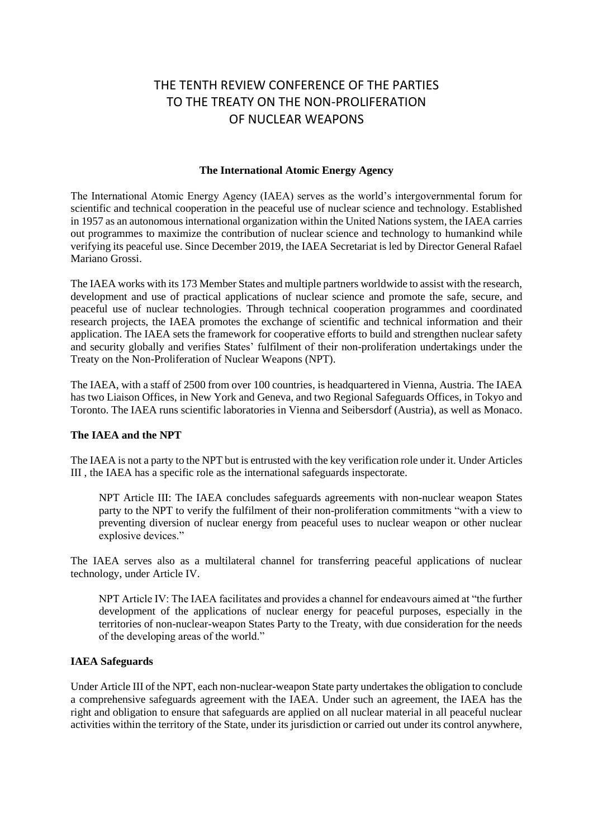# THE TENTH REVIEW CONFERENCE OF THE PARTIES TO THE TREATY ON THE NON-PROLIFERATION OF NUCLEAR WEAPONS

## **The International Atomic Energy Agency**

The International Atomic Energy Agency (IAEA) serves as the world's intergovernmental forum for scientific and technical cooperation in the peaceful use of nuclear science and technology. Established in 1957 as an autonomous international organization within the United Nations system, the IAEA carries out programmes to maximize the contribution of nuclear science and technology to humankind while verifying its peaceful use. Since December 2019, the IAEA Secretariat is led by Director General Rafael Mariano Grossi.

The IAEA works with its 173 Member States and multiple partners worldwide to assist with the research, development and use of practical applications of nuclear science and promote the safe, secure, and peaceful use of nuclear technologies. Through technical cooperation programmes and coordinated research projects, the IAEA promotes the exchange of scientific and technical information and their application. The IAEA sets the framework for cooperative efforts to build and strengthen nuclear safety and security globally and verifies States' fulfilment of their non-proliferation undertakings under the Treaty on the Non-Proliferation of Nuclear Weapons (NPT).

The IAEA, with a staff of 2500 from over 100 countries, is headquartered in Vienna, Austria. The IAEA has two Liaison Offices, in New York and Geneva, and two Regional Safeguards Offices, in Tokyo and Toronto. The IAEA runs scientific laboratories in Vienna and Seibersdorf (Austria), as well as Monaco.

## **The IAEA and the NPT**

The IAEA is not a party to the NPT but is entrusted with the key verification role under it. Under Articles III , the IAEA has a specific role as the international safeguards inspectorate.

NPT Article III: The IAEA concludes safeguards agreements with non-nuclear weapon States party to the NPT to verify the fulfilment of their non-proliferation commitments "with a view to preventing diversion of nuclear energy from peaceful uses to nuclear weapon or other nuclear explosive devices."

The IAEA serves also as a multilateral channel for transferring peaceful applications of nuclear technology, under Article IV.

NPT Article IV: The IAEA facilitates and provides a channel for endeavours aimed at "the further development of the applications of nuclear energy for peaceful purposes, especially in the territories of non-nuclear-weapon States Party to the Treaty, with due consideration for the needs of the developing areas of the world."

#### **IAEA Safeguards**

Under Article III of the NPT, each non-nuclear-weapon State party undertakes the obligation to conclude a comprehensive safeguards agreement with the IAEA. Under such an agreement, the IAEA has the right and obligation to ensure that safeguards are applied on all nuclear material in all peaceful nuclear activities within the territory of the State, under its jurisdiction or carried out under its control anywhere,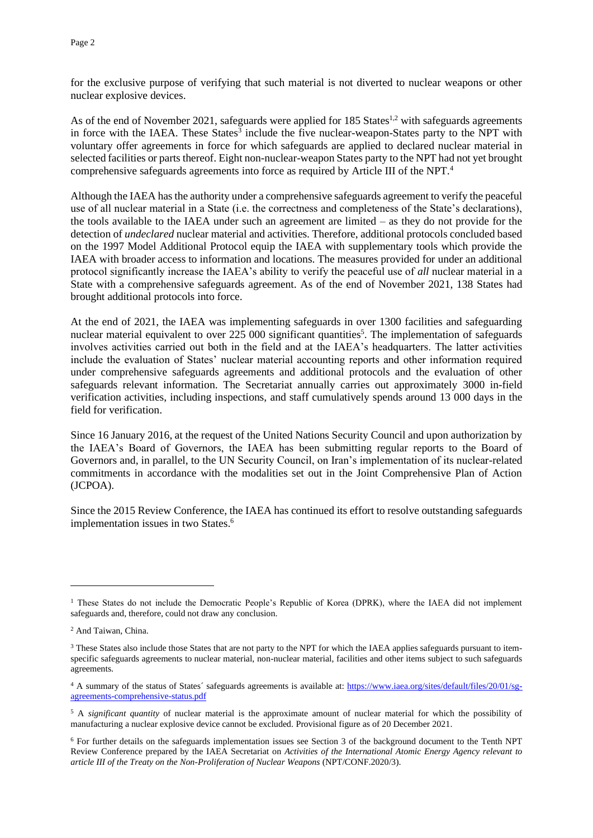for the exclusive purpose of verifying that such material is not diverted to nuclear weapons or other nuclear explosive devices.

As of the end of November 2021, safeguards were applied for  $185$  States<sup>1,2</sup> with safeguards agreements in force with the IAEA. These States<sup>3</sup> include the five nuclear-weapon-States party to the NPT with voluntary offer agreements in force for which safeguards are applied to declared nuclear material in selected facilities or parts thereof. Eight non-nuclear-weapon States party to the NPT had not yet brought comprehensive safeguards agreements into force as required by Article III of the NPT.<sup>4</sup>

Although the IAEA has the authority under a comprehensive safeguards agreement to verify the peaceful use of all nuclear material in a State (i.e. the correctness and completeness of the State's declarations), the tools available to the IAEA under such an agreement are limited – as they do not provide for the detection of *undeclared* nuclear material and activities. Therefore, additional protocols concluded based on the 1997 Model Additional Protocol equip the IAEA with supplementary tools which provide the IAEA with broader access to information and locations. The measures provided for under an additional protocol significantly increase the IAEA's ability to verify the peaceful use of *all* nuclear material in a State with a comprehensive safeguards agreement. As of the end of November 2021, 138 States had brought additional protocols into force.

At the end of 2021, the IAEA was implementing safeguards in over 1300 facilities and safeguarding nuclear material equivalent to over 225 000 significant quantities<sup>5</sup>. The implementation of safeguards involves activities carried out both in the field and at the IAEA's headquarters. The latter activities include the evaluation of States' nuclear material accounting reports and other information required under comprehensive safeguards agreements and additional protocols and the evaluation of other safeguards relevant information. The Secretariat annually carries out approximately 3000 in-field verification activities, including inspections, and staff cumulatively spends around 13 000 days in the field for verification.

Since 16 January 2016, at the request of the United Nations Security Council and upon authorization by the IAEA's Board of Governors, the IAEA has been submitting regular reports to the Board of Governors and, in parallel, to the UN Security Council, on Iran's implementation of its nuclear-related commitments in accordance with the modalities set out in the Joint Comprehensive Plan of Action (JCPOA).

Since the 2015 Review Conference, the IAEA has continued its effort to resolve outstanding safeguards implementation issues in two States.<sup>6</sup>

<sup>&</sup>lt;sup>1</sup> These States do not include the Democratic People's Republic of Korea (DPRK), where the IAEA did not implement safeguards and, therefore, could not draw any conclusion.

<sup>2</sup> And Taiwan, China.

<sup>&</sup>lt;sup>3</sup> These States also include those States that are not party to the NPT for which the IAEA applies safeguards pursuant to itemspecific safeguards agreements to nuclear material, non-nuclear material, facilities and other items subject to such safeguards agreements.

<sup>4</sup> A summary of the status of States´ safeguards agreements is available at: [https://www.iaea.org/sites/default/files/20/01/sg](https://www.iaea.org/sites/default/files/20/01/sg-agreements-comprehensive-status.pdf)[agreements-comprehensive-status.pdf](https://www.iaea.org/sites/default/files/20/01/sg-agreements-comprehensive-status.pdf)

<sup>5</sup> A *significant quantity* of nuclear material is the approximate amount of nuclear material for which the possibility of manufacturing a nuclear explosive device cannot be excluded. Provisional figure as of 20 December 2021.

<sup>6</sup> For further details on the safeguards implementation issues see Section 3 of the background document to the Tenth NPT Review Conference prepared by the IAEA Secretariat on *Activities of the International Atomic Energy Agency relevant to article III of the Treaty on the Non-Proliferation of Nuclear Weapons* (NPT/CONF.2020/3).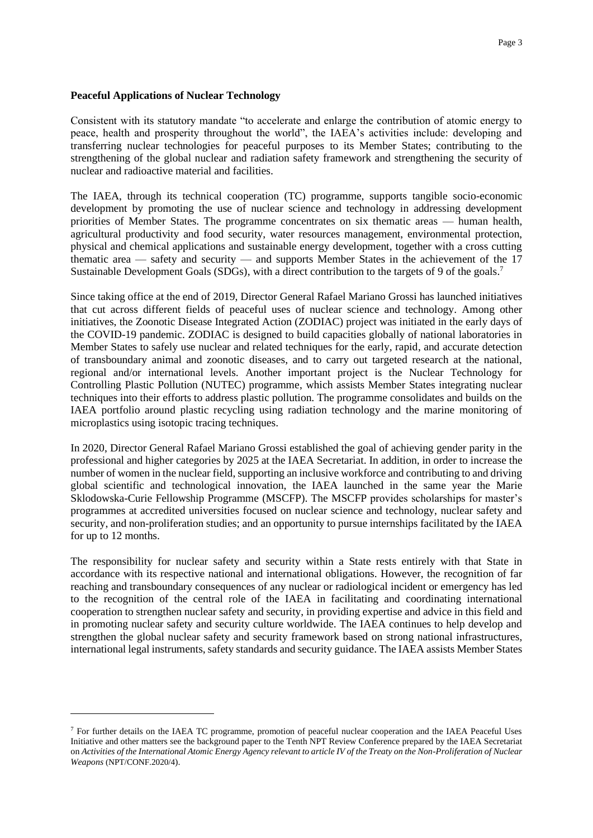### **Peaceful Applications of Nuclear Technology**

Consistent with its statutory mandate "to accelerate and enlarge the contribution of atomic energy to peace, health and prosperity throughout the world", the IAEA's activities include: developing and transferring nuclear technologies for peaceful purposes to its Member States; contributing to the strengthening of the global nuclear and radiation safety framework and strengthening the security of nuclear and radioactive material and facilities.

The IAEA, through its technical cooperation (TC) programme, supports tangible socio-economic development by promoting the use of nuclear science and technology in addressing development priorities of Member States. The programme concentrates on six thematic areas — human health, agricultural productivity and food security, water resources management, environmental protection, physical and chemical applications and sustainable energy development, together with a cross cutting thematic area — safety and security — and supports Member States in the achievement of the 17 Sustainable Development Goals (SDGs), with a direct contribution to the targets of 9 of the goals.<sup>7</sup>

Since taking office at the end of 2019, Director General Rafael Mariano Grossi has launched initiatives that cut across different fields of peaceful uses of nuclear science and technology. Among other initiatives, the Zoonotic Disease Integrated Action (ZODIAC) project was initiated in the early days of the COVID-19 pandemic. ZODIAC is designed to build capacities globally of national laboratories in Member States to safely use nuclear and related techniques for the early, rapid, and accurate detection of transboundary animal and zoonotic diseases, and to carry out targeted research at the national, regional and/or international levels. Another important project is the Nuclear Technology for Controlling Plastic Pollution (NUTEC) programme, which assists Member States integrating nuclear techniques into their efforts to address plastic pollution. The programme consolidates and builds on the IAEA portfolio around plastic recycling using radiation technology and the marine monitoring of microplastics using isotopic tracing techniques.

In 2020, Director General Rafael Mariano Grossi established the goal of achieving gender parity in the professional and higher categories by 2025 at the IAEA Secretariat. In addition, in order to increase the number of women in the nuclear field, supporting an inclusive workforce and contributing to and driving global scientific and technological innovation, the IAEA launched in the same year the Marie Sklodowska-Curie Fellowship Programme (MSCFP). The MSCFP provides scholarships for master's programmes at accredited universities focused on nuclear science and technology, nuclear safety and security, and non-proliferation studies; and an opportunity to pursue internships facilitated by the IAEA for up to 12 months.

The responsibility for nuclear safety and security within a State rests entirely with that State in accordance with its respective national and international obligations. However, the recognition of far reaching and transboundary consequences of any nuclear or radiological incident or emergency has led to the recognition of the central role of the IAEA in facilitating and coordinating international cooperation to strengthen nuclear safety and security, in providing expertise and advice in this field and in promoting nuclear safety and security culture worldwide. The IAEA continues to help develop and strengthen the global nuclear safety and security framework based on strong national infrastructures, international legal instruments, safety standards and security guidance. The IAEA assists Member States

<sup>7</sup> For further details on the IAEA TC programme, promotion of peaceful nuclear cooperation and the IAEA Peaceful Uses Initiative and other matters see the background paper to the Tenth NPT Review Conference prepared by the IAEA Secretariat on *Activities of the International Atomic Energy Agency relevant to article IV of the Treaty on the Non-Proliferation of Nuclear Weapons* (NPT/CONF.2020/4).